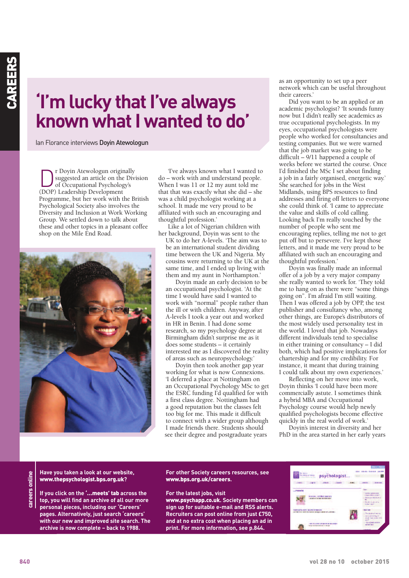# **'I'm lucky that I've always known** what I wanted to do'

Ian Florance interviews Doyin Atewologun

The Doyin Atewologun originally<br>suggested an article on the Div<br>of Occupational Psychology's<br>(DOP) Leadership Development suggested an article on the Division of Occupational Psychology's (DOP) Leadership Development Programme, but her work with the British Psychological Society also involves the Diversity and Inclusion at Work Working Group. We settled down to talk about these and other topics in a pleasant coffee shop on the Mile End Road.



'I've always known what I wanted to do – work with and understand people. When I was 11 or 12 my aunt told me that that was exactly what she did – she was a child psychologist working at a school. It made me very proud to be affiliated with such an encouraging and thoughtful profession.'

Like a lot of Nigerian children with her background, Doyin was sent to the

UK to do her A-levels. 'The aim was to be an international student dividing time between the UK and Nigeria. My cousins were returning to the UK at the same time, and I ended up living with them and my aunt in Northampton.'

Doyin made an early decision to be an occupational psychologist. 'At the time I would have said I wanted to work with "normal" people rather than the ill or with children. Anyway, after A-levels I took a year out and worked in HR in Benin. I had done some research, so my psychology degree at Birmingham didn't surprise me as it does some students – it certainly interested me as I discovered the reality of areas such as neuropsychology.'

Doyin then took another gap year working for what is now Connexions. 'I deferred a place at Nottingham on an Occupational Psychology MSc to get the ESRC funding I'd qualified for with a first class degree. Nottingham had a good reputation but the classes felt too big for me. This made it difficult to connect with a wider group although I made friends there. Students should see their degree and postgraduate years

as an opportunity to set up a peer network which can be useful throughout their careers.'

Did you want to be an applied or an academic psychologist? 'It sounds funny now but I didn't really see academics as true occupational psychologists. In my eyes, occupational psychologists were people who worked for consultancies and testing companies. But we were warned that the job market was going to be difficult – 9/11 happened a couple of weeks before we started the course. Once I'd finished the MSc I set about finding a job in a fairly organised, energetic way.' She searched for jobs in the West Midlands, using BPS resources to find addresses and firing off letters to everyone she could think of. 'I came to appreciate the value and skills of cold calling. Looking back I'm really touched by the number of people who sent me encouraging replies, telling me not to get put off but to persevere. I've kept those letters, and it made me very proud to be affiliated with such an encouraging and thoughtful profession.'

Doyin was finally made an informal offer of a job by a very major company she really wanted to work for. 'They told me to hang on as there were "some things going on". I'm afraid I'm still waiting. Then I was offered a job by OPP, the test publisher and consultancy who, among other things, are Europe's distributors of the most widely used personality test in the world. I loved that job. Nowadays different individuals tend to specialise in either training or consultancy – I did both, which had positive implications for chartership and for my credibility. For instance, it meant that during training I could talk about my own experiences.'

Reflecting on her move into work, Doyin thinks 'I could have been more commercially astute. I sometimes think a hybrid MBA and Occupational Psychology course would help newly qualified psychologists become effective quickly in the real world of work.'

Doyin's interest in diversity and her PhD in the area started in her early years

areers online **careers online** **Have you taken a look at our website, www.thepsychologist.bps.org.uk?**

**If you click on the '…meets' tab across the top, you will find an archive of all our more personal pieces, including our 'Careers' pages. Alternatively, just search 'careers' with our new and improved site search. The archive is now complete – back to 1988.**

### **For other Society careers resources, see www.bps.org.uk/careers.**

**For the latest jobs, visit www.psychapp.co.uk. Society members can sign up for suitable e-mail and RSS alerts. Recruiters can post online from just £750, and at no extra cost when placing an ad in print. For more information, see p.844.**

| <b>The Strate</b><br>psychologist<br>foundation Solid:<br>distributes and day |                                                                                                            |  | A-A-MPR<br>Advertise Contribute                                                                                                                            |
|-------------------------------------------------------------------------------|------------------------------------------------------------------------------------------------------------|--|------------------------------------------------------------------------------------------------------------------------------------------------------------|
| <b>UNITED</b>                                                                 | <b>ADAMS</b><br><b>Chairman</b>                                                                            |  | <b>BECAULD CAT</b><br>a land of land                                                                                                                       |
| meets                                                                         | Instantons, with Minst Longingna<br>pecamo po emeiro abbileraminari                                        |  | <b>Store</b><br>- Albertary during air smok-<br>LSDA Hildrigh Company<br>a disent controlerant and<br>in Minister annual cutting<br><b>Scientist Labor</b> |
|                                                                               | Rank on all our party in a business discovery<br>cremention verte thundless Sessory Designational Carenas- |  | Nose real<br>a Throughland once as<br>5. Anniamerican Block Et<br>and tancare che                                                                          |
|                                                                               | TORIA MIS CATANTICA REAGANING TAX CAN TOYOTA AT<br>Anderschmeiding, Strat 1918 1919 aus war                |  | sin 25<br>The euch send world or<br><b>SHI MAC' WILD</b>                                                                                                   |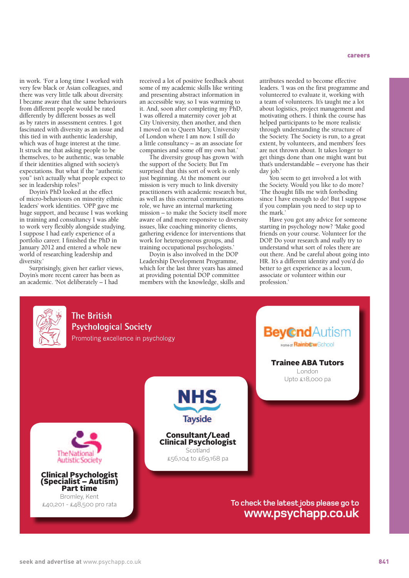in work. 'For a long time I worked with very few black or Asian colleagues, and there was very little talk about diversity. I became aware that the same behaviours from different people would be rated differently by different bosses as well as by raters in assessment centres. I got fascinated with diversity as an issue and this tied in with authentic leadership, which was of huge interest at the time. It struck me that asking people to be themselves, to be authentic, was tenable if their identities aligned with society's expectations. But what if the "authentic you" isn't actually what people expect to see in leadership roles?'

Doyin's PhD looked at the effect of micro-behaviours on minority ethnic leaders' work identities. 'OPP gave me huge support, and because I was working in training and consultancy I was able to work very flexibly alongside studying. I suppose I had early experience of a portfolio career. I finished the PhD in January 2012 and entered a whole new world of researching leadership and diversity.'

Surprisingly, given her earlier views, Doyin's more recent career has been as an academic. 'Not deliberately – I had

received a lot of positive feedback about some of my academic skills like writing and presenting abstract information in an accessible way, so I was warming to it. And, soon after completing my PhD, I was offered a maternity cover job at City University, then another, and then I moved on to Queen Mary, University of London where I am now. I still do a little consultancy – as an associate for companies and some off my own bat.'

The diversity group has grown 'with the support of the Society. But I'm surprised that this sort of work is only just beginning. At the moment our mission is very much to link diversity practitioners with academic research but, as well as this external communications role, we have an internal marketing mission – to make the Society itself more aware of and more responsive to diversity issues, like coaching minority clients, gathering evidence for interventions that work for heterogeneous groups, and training occupational psychologists.'

Doyin is also involved in the DOP Leadership Development Programme, which for the last three years has aimed at providing potential DOP committee members with the knowledge, skills and attributes needed to become effective leaders. 'I was on the first programme and volunteered to evaluate it, working with a team of volunteers. It's taught me a lot about logistics, project management and motivating others. I think the course has helped participants to be more realistic through understanding the structure of the Society. The Society is run, to a great extent, by volunteers, and members' fees are not thrown about. It takes longer to get things done than one might want but that's understandable – everyone has their day job.'

You seem to get involved a lot with the Society. Would you like to do more? 'The thought fills me with foreboding since I have enough to do! But I suppose if you complain you need to step up to the mark.'

Have you got any advice for someone starting in psychology now? 'Make good friends on your course. Volunteer for the DOP. Do your research and *really* try to understand what sort of roles there are out there. And be careful about going into HR. It's a different identity and you'd do better to get experience as a locum, associate or volunteer within our profession.'

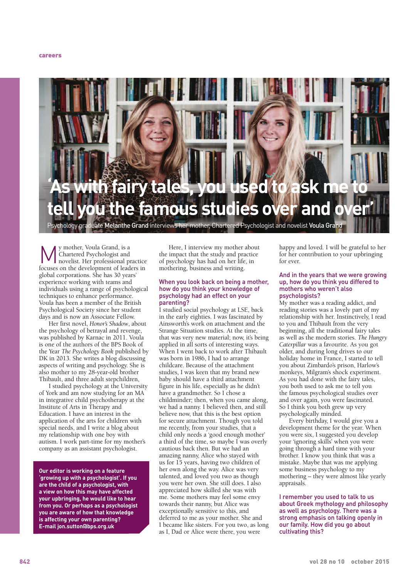

hology graduate <mark>Melanthe Grand</mark> interviews her mother, Chartered Psychologist and novelist **Voula Grand** 

**M** y mother, Voula Grand, is a movelist. Her professional p<br>focuses on the development of lead Chartered Psychologist and novelist. Her professional practice focuses on the development of leaders in global corporations. She has 30 years' experience working with teams and individuals using a range of psychological techniques to enhance performance. Voula has been a member of the British Psychological Society since her student days and is now an Associate Fellow.

Her first novel, *Honor's Shadow*, about the psychology of betrayal and revenge, was published by Karnac in 2011. Voula is one of the authors of the BPS Book of the Year *The Psychology Book* published by DK in 2013. She writes a blog discussing aspects of writing and psychology. She is also mother to my 28-year-old brother Thibault, and three adult stepchildren,

I studied psychology at the University of York and am now studying for an MA in integrative child psychotherapy at the Institute of Arts in Therapy and Education. I have an interest in the application of the arts for children with special needs, and I write a blog about my relationship with one boy with autism. I work part-time for my mother's company as an assistant psychologist.

**Our editor is working on a feature 'growing up with a psychologist'. If you are the child of a psychologist, with a view on how this may have affected your upbringing, he would like to hear from you. Or perhaps as a psychologist you are aware of how that knowledge is affecting your own parenting? E-mail jon.sutton@bps.org.uk**

Here, I interview my mother about the impact that the study and practice of psychology has had on her life, in mothering, business and writing.

#### When you look back on being a mother, how do you think your knowledge of psychology had an effect on your parenting?

I studied social psychology at LSE, back in the early eighties. I was fascinated by Ainsworth's work on attachment and the Strange Situation studies. At the time, that was very new material; now, it's being applied in all sorts of interesting ways. When I went back to work after Thibault was born in 1986, I had to arrange childcare. Because of the attachment studies, I was keen that my brand new baby should have a third attachment figure in his life, especially as he didn't have a grandmother. So I chose a childminder; then, when you came along, we had a nanny. I believed then, and still believe now, that this is the best option for secure attachment. Though you told me recently, from your studies, that a child only needs a 'good enough mother' a third of the time, so maybe I was overly cautious back then. But we had an amazing nanny, Alice who stayed with us for 15 years, having two children of her own along the way. Alice was very talented, and loved you two as though you were her own. She still does. I also appreciated how skilled she was with me. Some mothers may feel some envy towards their nanny, but Alice was exceptionally sensitive to this, and deferred to me as your mother. She and I became like sisters. For you two, as long as I, Dad or Alice were there, you were

happy and loved. I will be grateful to her for her contribution to your upbringing for ever.

# And in the years that we were growing up, how do you think you differed to mothers who weren't also psychologists?

My mother was a reading addict, and reading stories was a lovely part of my relationship with her. Instinctively, I read to you and Thibault from the very beginning, all the traditional fairy tales as well as the modern stories. *The Hungry Caterpillar* was a favourite. As you got older, and during long drives to our holiday home in France, I started to tell you about Zimbardo's prison, Harlow's monkeys, Milgram's shock experiment. As you had done with the fairy tales, you both used to ask me to tell you the famous psychological studies over and over again, you were fascinated. So I think you both grew up very psychologically minded.

Every birthday, I would give you a development theme for the year. When you were six, I suggested you develop your 'ignoring skills' when you were going through a hard time with your brother. I know you think that was a mistake. Maybe that was me applying some business psychology to my mothering – they were almost like yearly appraisals.

I remember you used to talk to us about Greek mythology and philosophy as well as psychology. There was a strong emphasis on talking openly in our family. How did you go about cultivating this?